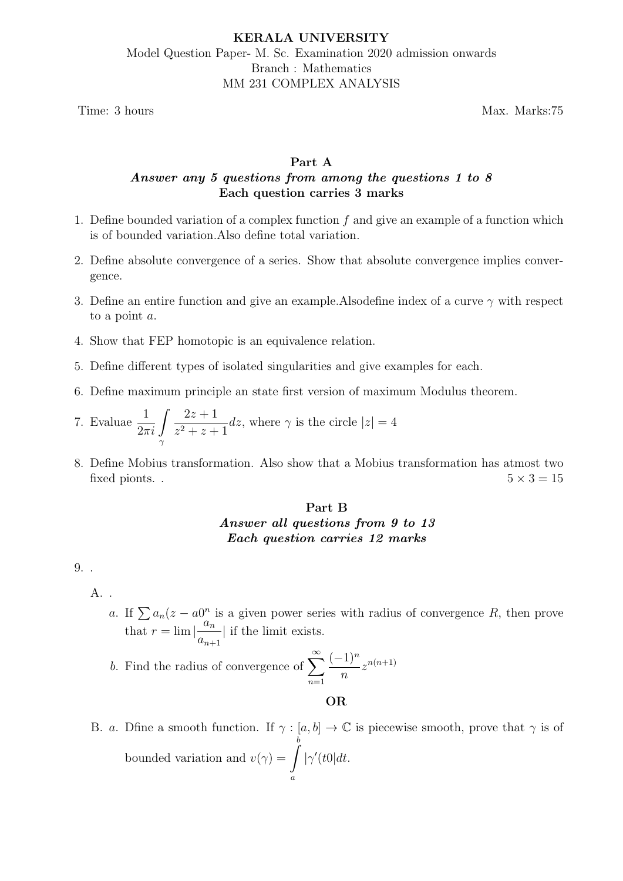# KERALA UNIVERSITY Model Question Paper- M. Sc. Examination 2020 admission onwards Branch : Mathematics MM 231 COMPLEX ANALYSIS

Time: 3 hours Max. Marks:75

## Part A Answer any 5 questions from among the questions 1 to 8 Each question carries 3 marks

- 1. Define bounded variation of a complex function  $f$  and give an example of a function which is of bounded variation.Also define total variation.
- 2. Define absolute convergence of a series. Show that absolute convergence implies convergence.
- 3. Define an entire function and give an example. Also define index of a curve  $\gamma$  with respect to a point a.
- 4. Show that FEP homotopic is an equivalence relation.
- 5. Define different types of isolated singularities and give examples for each.
- 6. Define maximum principle an state first version of maximum Modulus theorem.
- 7. Evaluae  $\frac{1}{2\pi i}$   $\int$ γ  $2z + 1$  $z^2 + z + 1$ dz, where  $\gamma$  is the circle  $|z|=4$
- 8. Define Mobius transformation. Also show that a Mobius transformation has atmost two fixed pionts. .  $5 \times 3 = 15$

# Part B Answer all questions from 9 to 13 Each question carries 12 marks

9. .

A. .

a. If  $\sum a_n(z - a)^n$  is a given power series with radius of convergence R, then prove that  $r = \lim_{n \to \infty} \left| \frac{a_n}{n} \right|$  $a_{n+1}$ | if the limit exists.

b. Find the radius of convergence of  $\sum_{n=1}^{\infty}$  $n=1$  $(-1)^n$ n  $z^{n(n+1)}$ 

OR

B. a. Dfine a smooth function. If  $\gamma : [a, b] \to \mathbb{C}$  is piecewise smooth, prove that  $\gamma$  is of bounded variation and  $v(\gamma) = \gamma$ b a  $|\gamma'(t)|dt$ .